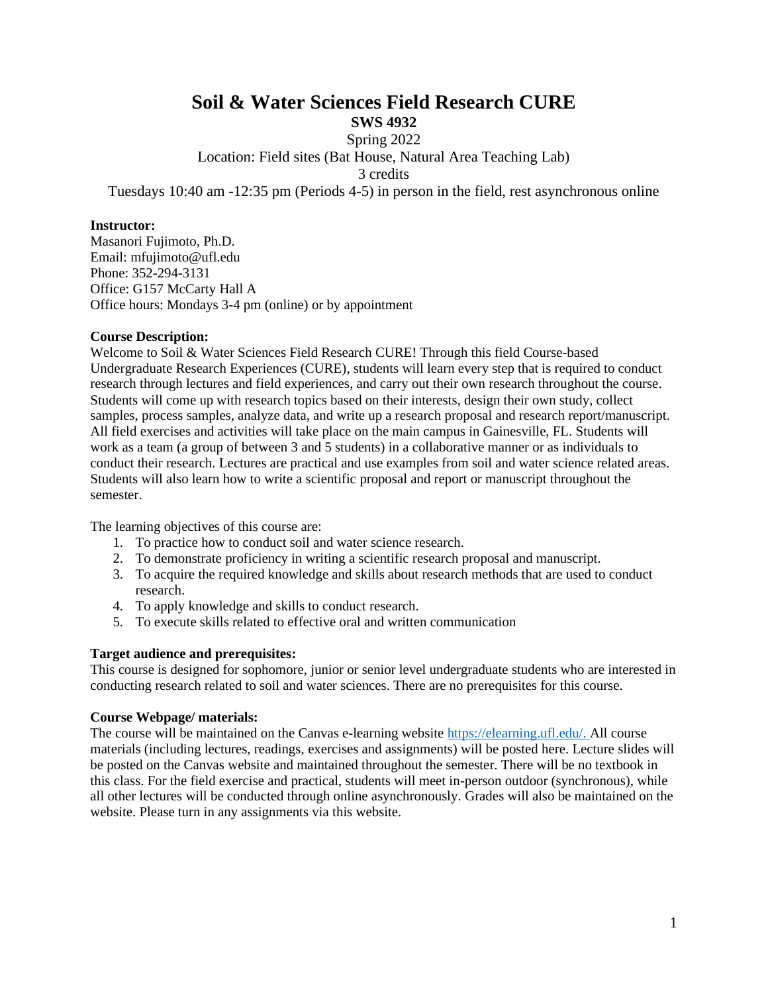# **Soil & Water Sciences Field Research CURE**

**SWS 4932**

Spring 2022

Location: Field sites (Bat House, Natural Area Teaching Lab)

3 credits

Tuesdays 10:40 am -12:35 pm (Periods 4-5) in person in the field, rest asynchronous online

## **Instructor:**

Masanori Fujimoto, Ph.D. Email: mfujimoto@ufl.edu Phone: 352-294-3131 Office: G157 McCarty Hall A Office hours: Mondays 3-4 pm (online) or by appointment

# **Course Description:**

Welcome to Soil & Water Sciences Field Research CURE! Through this field Course-based Undergraduate Research Experiences (CURE), students will learn every step that is required to conduct research through lectures and field experiences, and carry out their own research throughout the course. Students will come up with research topics based on their interests, design their own study, collect samples, process samples, analyze data, and write up a research proposal and research report/manuscript. All field exercises and activities will take place on the main campus in Gainesville, FL. Students will work as a team (a group of between 3 and 5 students) in a collaborative manner or as individuals to conduct their research. Lectures are practical and use examples from soil and water science related areas. Students will also learn how to write a scientific proposal and report or manuscript throughout the semester.

The learning objectives of this course are:

- 1. To practice how to conduct soil and water science research.
- 2. To demonstrate proficiency in writing a scientific research proposal and manuscript.
- 3. To acquire the required knowledge and skills about research methods that are used to conduct research.
- 4. To apply knowledge and skills to conduct research.
- 5. To execute skills related to effective oral and written communication

# **Target audience and prerequisites:**

This course is designed for sophomore, junior or senior level undergraduate students who are interested in conducting research related to soil and water sciences. There are no prerequisites for this course.

# **Course Webpage/ materials:**

The course will be maintained on the Canvas e-learning website [https://elearning.ufl.edu/.](https://elearning.ufl.edu/) All course materials (including lectures, readings, exercises and assignments) will be posted here. Lecture slides will be posted on the Canvas website and maintained throughout the semester. There will be no textbook in this class. For the field exercise and practical, students will meet in-person outdoor (synchronous), while all other lectures will be conducted through online asynchronously. Grades will also be maintained on the website. Please turn in any assignments via this website.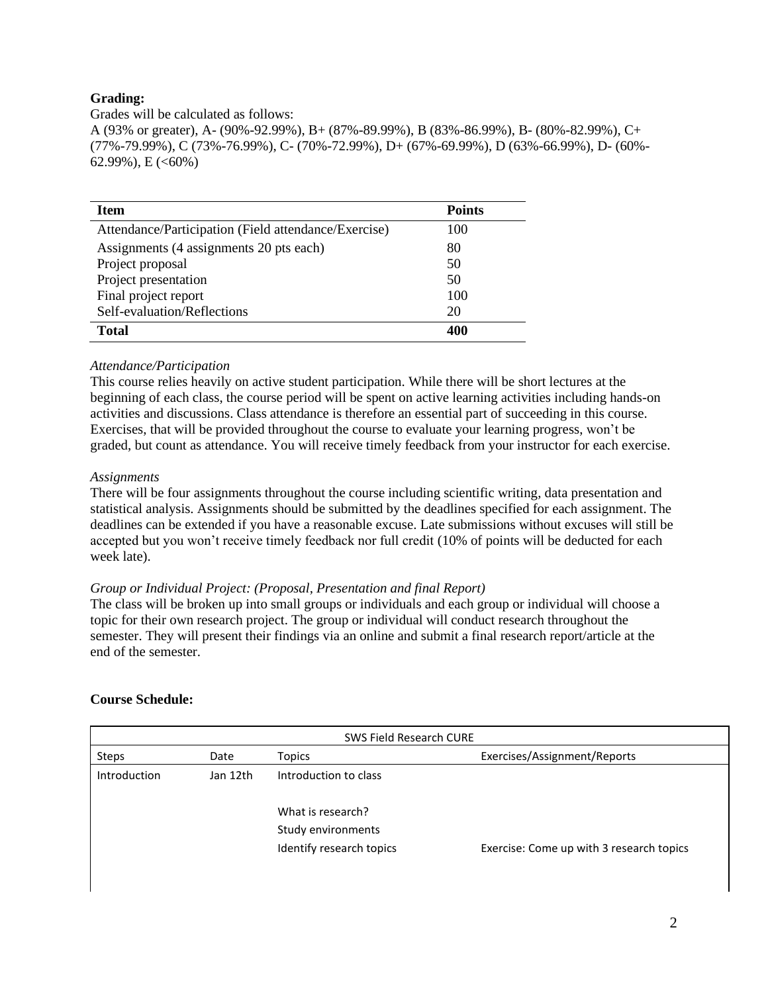# **Grading:**

Grades will be calculated as follows: A (93% or greater), A- (90%-92.99%), B+ (87%-89.99%), B (83%-86.99%), B- (80%-82.99%), C+ (77%-79.99%), C (73%-76.99%), C- (70%-72.99%), D+ (67%-69.99%), D (63%-66.99%), D- (60%- 62.99%), E  $(<60\%)$ 

| <b>Item</b>                                          | <b>Points</b> |
|------------------------------------------------------|---------------|
| Attendance/Participation (Field attendance/Exercise) | 100           |
| Assignments (4 assignments 20 pts each)              | 80            |
| Project proposal                                     | 50            |
| Project presentation                                 | 50            |
| Final project report                                 | 100           |
| Self-evaluation/Reflections                          | 20            |
| <b>Total</b>                                         | 401           |

# *Attendance/Participation*

This course relies heavily on active student participation. While there will be short lectures at the beginning of each class, the course period will be spent on active learning activities including hands-on activities and discussions. Class attendance is therefore an essential part of succeeding in this course. Exercises, that will be provided throughout the course to evaluate your learning progress, won't be graded, but count as attendance. You will receive timely feedback from your instructor for each exercise.

# *Assignments*

There will be four assignments throughout the course including scientific writing, data presentation and statistical analysis. Assignments should be submitted by the deadlines specified for each assignment. The deadlines can be extended if you have a reasonable excuse. Late submissions without excuses will still be accepted but you won't receive timely feedback nor full credit (10% of points will be deducted for each week late).

# *Group or Individual Project: (Proposal, Presentation and final Report)*

The class will be broken up into small groups or individuals and each group or individual will choose a topic for their own research project. The group or individual will conduct research throughout the semester. They will present their findings via an online and submit a final research report/article at the end of the semester.

# **Course Schedule:**

| SWS Field Research CURE |          |                          |                                          |  |
|-------------------------|----------|--------------------------|------------------------------------------|--|
| Steps                   | Date     | Topics                   | Exercises/Assignment/Reports             |  |
| Introduction            | Jan 12th | Introduction to class    |                                          |  |
|                         |          | What is research?        |                                          |  |
|                         |          | Study environments       |                                          |  |
|                         |          | Identify research topics | Exercise: Come up with 3 research topics |  |
|                         |          |                          |                                          |  |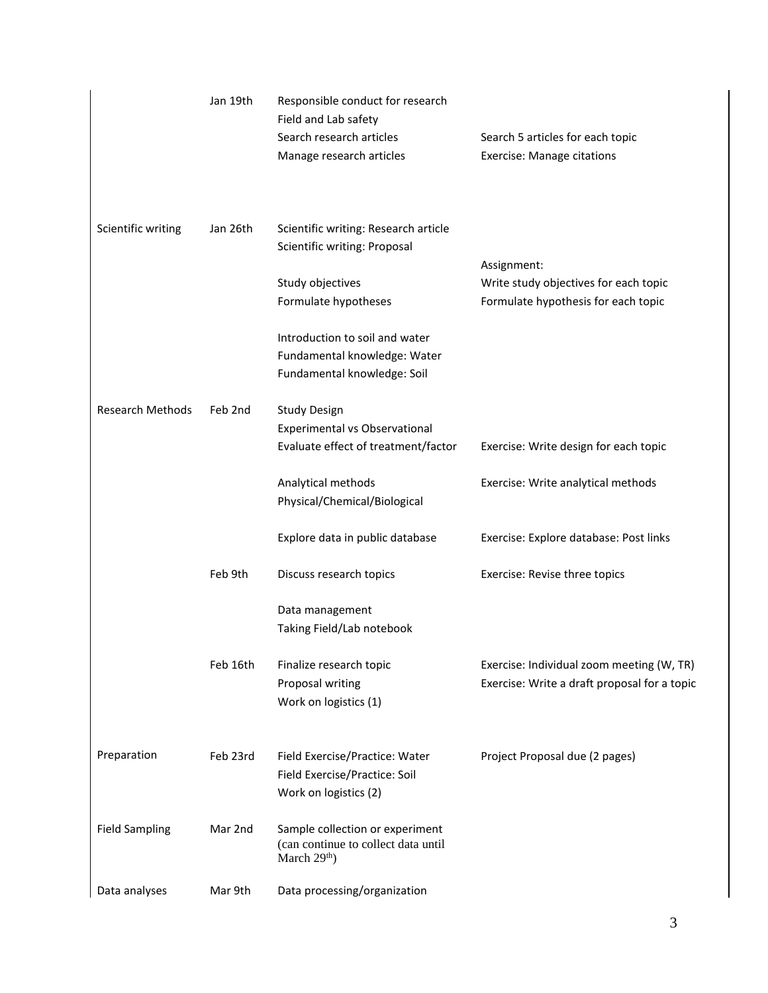|                         | Jan 19th | Responsible conduct for research<br>Field and Lab safety<br>Search research articles<br>Manage research articles | Search 5 articles for each topic<br><b>Exercise: Manage citations</b>                     |
|-------------------------|----------|------------------------------------------------------------------------------------------------------------------|-------------------------------------------------------------------------------------------|
| Scientific writing      | Jan 26th | Scientific writing: Research article<br>Scientific writing: Proposal                                             | Assignment:                                                                               |
|                         |          | Study objectives                                                                                                 | Write study objectives for each topic                                                     |
|                         |          | Formulate hypotheses                                                                                             | Formulate hypothesis for each topic                                                       |
|                         |          | Introduction to soil and water<br>Fundamental knowledge: Water<br>Fundamental knowledge: Soil                    |                                                                                           |
| <b>Research Methods</b> | Feb 2nd  | <b>Study Design</b>                                                                                              |                                                                                           |
|                         |          | Experimental vs Observational                                                                                    |                                                                                           |
|                         |          | Evaluate effect of treatment/factor                                                                              | Exercise: Write design for each topic                                                     |
|                         |          | Analytical methods<br>Physical/Chemical/Biological                                                               | Exercise: Write analytical methods                                                        |
|                         |          | Explore data in public database                                                                                  | Exercise: Explore database: Post links                                                    |
|                         | Feb 9th  | Discuss research topics                                                                                          | Exercise: Revise three topics                                                             |
|                         |          | Data management<br>Taking Field/Lab notebook                                                                     |                                                                                           |
|                         | Feb 16th | Finalize research topic<br>Proposal writing<br>Work on logistics (1)                                             | Exercise: Individual zoom meeting (W, TR)<br>Exercise: Write a draft proposal for a topic |
| Preparation             | Feb 23rd | Field Exercise/Practice: Water<br>Field Exercise/Practice: Soil<br>Work on logistics (2)                         | Project Proposal due (2 pages)                                                            |
| <b>Field Sampling</b>   | Mar 2nd  | Sample collection or experiment<br>(can continue to collect data until<br>March 29 <sup>th</sup> )               |                                                                                           |
| Data analyses           | Mar 9th  | Data processing/organization                                                                                     |                                                                                           |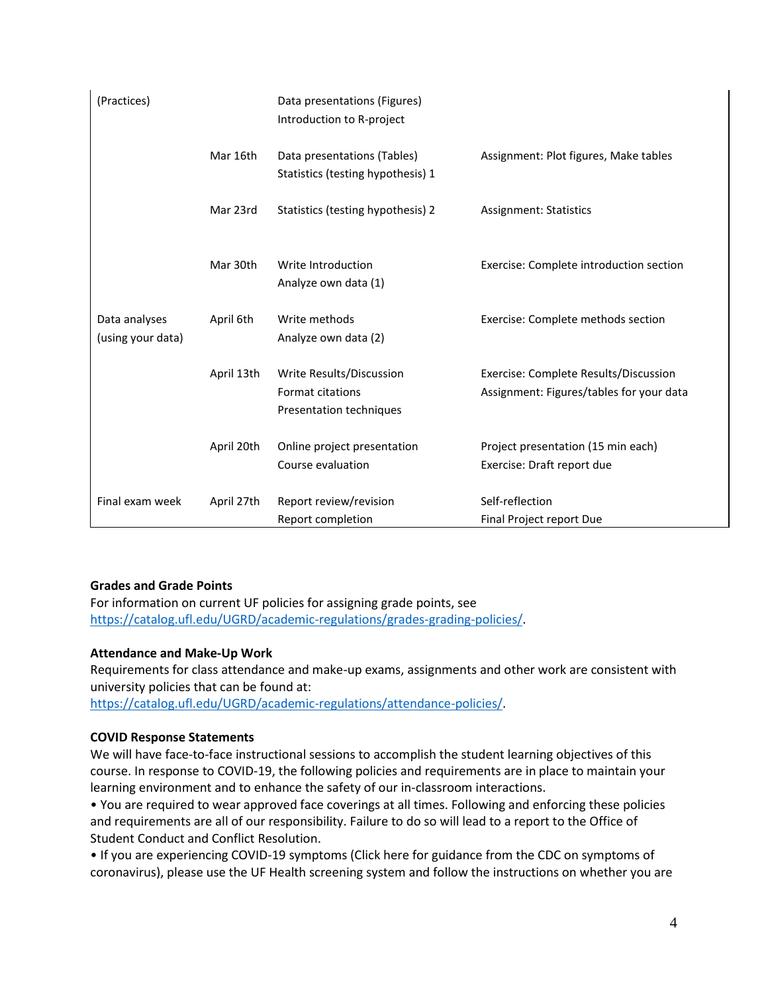| (Practices)                        |            | Data presentations (Figures)<br>Introduction to R-project                      |                                                                                   |
|------------------------------------|------------|--------------------------------------------------------------------------------|-----------------------------------------------------------------------------------|
|                                    | Mar 16th   | Data presentations (Tables)<br>Statistics (testing hypothesis) 1               | Assignment: Plot figures, Make tables                                             |
|                                    | Mar 23rd   | Statistics (testing hypothesis) 2                                              | <b>Assignment: Statistics</b>                                                     |
|                                    | Mar 30th   | Write Introduction<br>Analyze own data (1)                                     | Exercise: Complete introduction section                                           |
| Data analyses<br>(using your data) | April 6th  | Write methods<br>Analyze own data (2)                                          | Exercise: Complete methods section                                                |
|                                    | April 13th | Write Results/Discussion<br><b>Format citations</b><br>Presentation techniques | Exercise: Complete Results/Discussion<br>Assignment: Figures/tables for your data |
|                                    | April 20th | Online project presentation<br>Course evaluation                               | Project presentation (15 min each)<br>Exercise: Draft report due                  |
| Final exam week                    | April 27th | Report review/revision<br>Report completion                                    | Self-reflection<br>Final Project report Due                                       |

# **Grades and Grade Points**

For information on current UF policies for assigning grade points, see [https://catalog.ufl.edu/UGRD/academic-regulations/grades-grading-policies/.](https://catalog.ufl.edu/UGRD/academic-regulations/grades-grading-policies/)

# **Attendance and Make-Up Work**

Requirements for class attendance and make-up exams, assignments and other work are consistent with university policies that can be found at: [https://catalog.ufl.edu/UGRD/academic-regulations/attendance-policies/.](https://catalog.ufl.edu/UGRD/academic-regulations/attendance-policies/)

# **COVID Response Statements**

We will have face-to-face instructional sessions to accomplish the student learning objectives of this course. In response to COVID-19, the following policies and requirements are in place to maintain your learning environment and to enhance the safety of our in-classroom interactions.

• You are required to wear approved face coverings at all times. Following and enforcing these policies and requirements are all of our responsibility. Failure to do so will lead to a report to the Office of Student Conduct and Conflict Resolution.

• If you are experiencing COVID-19 symptoms (Click here for guidance from the CDC on symptoms of coronavirus), please use the UF Health screening system and follow the instructions on whether you are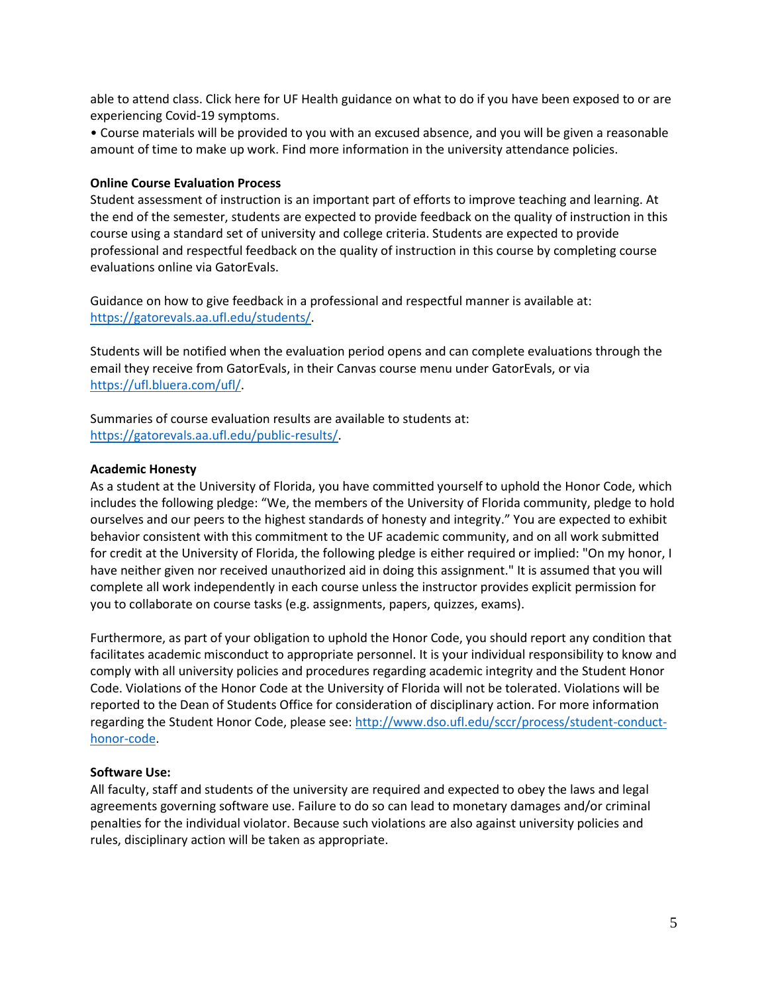able to attend class. Click here for UF Health guidance on what to do if you have been exposed to or are experiencing Covid-19 symptoms.

• Course materials will be provided to you with an excused absence, and you will be given a reasonable amount of time to make up work. Find more information in the university attendance policies.

## **Online Course Evaluation Process**

Student assessment of instruction is an important part of efforts to improve teaching and learning. At the end of the semester, students are expected to provide feedback on the quality of instruction in this course using a standard set of university and college criteria. Students are expected to provide professional and respectful feedback on the quality of instruction in this course by completing course evaluations online via GatorEvals.

Guidance on how to give feedback in a professional and respectful manner is available at: [https://gatorevals.aa.ufl.edu/students/.](https://gatorevals.aa.ufl.edu/students/)

Students will be notified when the evaluation period opens and can complete evaluations through the email they receive from GatorEvals, in their Canvas course menu under GatorEvals, or via [https://ufl.bluera.com/ufl/.](https://ufl.bluera.com/ufl/)

Summaries of course evaluation results are available to students at: [https://gatorevals.aa.ufl.edu/public-results/.](https://gatorevals.aa.ufl.edu/public-results/)

### **Academic Honesty**

As a student at the University of Florida, you have committed yourself to uphold the Honor Code, which includes the following pledge: "We, the members of the University of Florida community, pledge to hold ourselves and our peers to the highest standards of honesty and integrity." You are expected to exhibit behavior consistent with this commitment to the UF academic community, and on all work submitted for credit at the University of Florida, the following pledge is either required or implied: "On my honor, I have neither given nor received unauthorized aid in doing this assignment." It is assumed that you will complete all work independently in each course unless the instructor provides explicit permission for you to collaborate on course tasks (e.g. assignments, papers, quizzes, exams).

Furthermore, as part of your obligation to uphold the Honor Code, you should report any condition that facilitates academic misconduct to appropriate personnel. It is your individual responsibility to know and comply with all university policies and procedures regarding academic integrity and the Student Honor Code. Violations of the Honor Code at the University of Florida will not be tolerated. Violations will be reported to the Dean of Students Office for consideration of disciplinary action. For more information regarding the Student Honor Code, please see: [http://www.dso.ufl.edu/sccr/process/student-conduct](http://www.dso.ufl.edu/sccr/process/student-conduct-honor-code)[honor-code.](http://www.dso.ufl.edu/sccr/process/student-conduct-honor-code)

#### **Software Use:**

All faculty, staff and students of the university are required and expected to obey the laws and legal agreements governing software use. Failure to do so can lead to monetary damages and/or criminal penalties for the individual violator. Because such violations are also against university policies and rules, disciplinary action will be taken as appropriate.